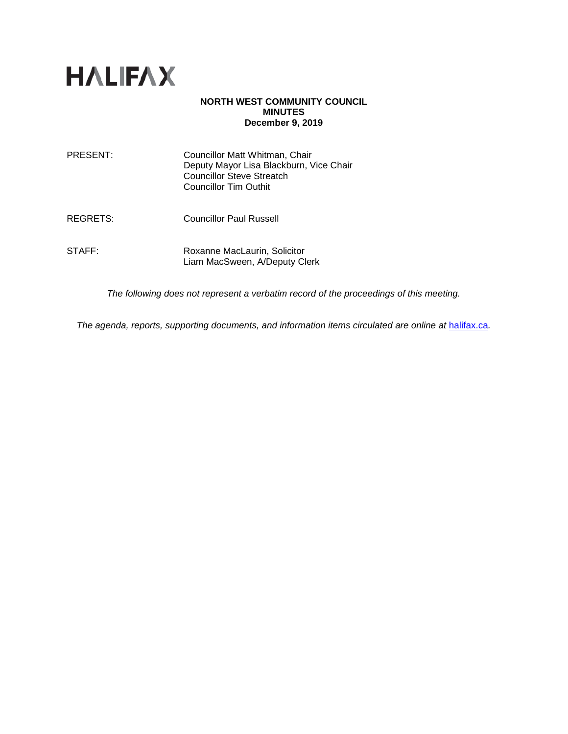

### **NORTH WEST COMMUNITY COUNCIL MINUTES December 9, 2019**

| PRESENT: | Councillor Matt Whitman, Chair<br>Deputy Mayor Lisa Blackburn, Vice Chair<br><b>Councillor Steve Streatch</b><br><b>Councillor Tim Outhit</b> |
|----------|-----------------------------------------------------------------------------------------------------------------------------------------------|
| REGRETS: | Councillor Paul Russell                                                                                                                       |
| STAFF:   | Roxanne MacLaurin, Solicitor<br>Liam MacSween, A/Deputy Clerk                                                                                 |

*The following does not represent a verbatim record of the proceedings of this meeting.*

*The agenda, reports, supporting documents, and information items circulated are online at [halifax.ca](http://www.halifax.ca/).*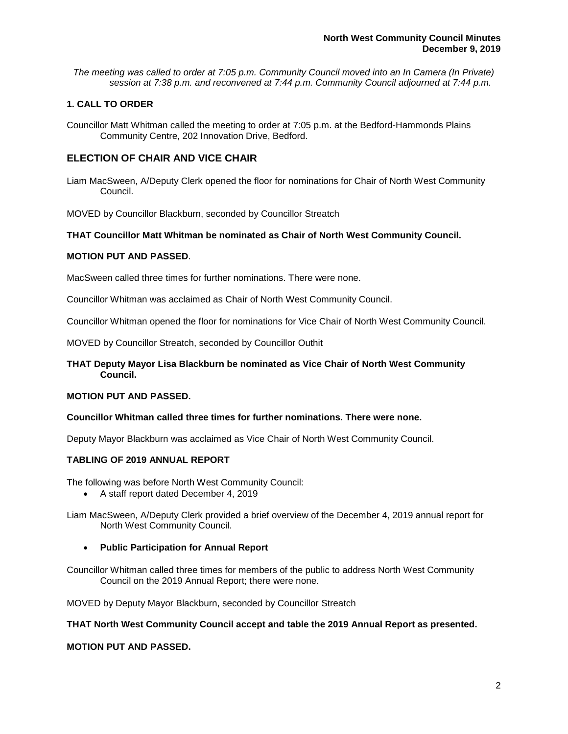*The meeting was called to order at 7:05 p.m. Community Council moved into an In Camera (In Private) session at 7:38 p.m. and reconvened at 7:44 p.m. Community Council adjourned at 7:44 p.m.*

# **1. CALL TO ORDER**

Councillor Matt Whitman called the meeting to order at 7:05 p.m. at the Bedford-Hammonds Plains Community Centre, 202 Innovation Drive, Bedford.

# **ELECTION OF CHAIR AND VICE CHAIR**

Liam MacSween, A/Deputy Clerk opened the floor for nominations for Chair of North West Community Council.

MOVED by Councillor Blackburn, seconded by Councillor Streatch

## **THAT Councillor Matt Whitman be nominated as Chair of North West Community Council.**

## **MOTION PUT AND PASSED**.

MacSween called three times for further nominations. There were none.

Councillor Whitman was acclaimed as Chair of North West Community Council.

Councillor Whitman opened the floor for nominations for Vice Chair of North West Community Council.

MOVED by Councillor Streatch, seconded by Councillor Outhit

### **THAT Deputy Mayor Lisa Blackburn be nominated as Vice Chair of North West Community Council.**

#### **MOTION PUT AND PASSED.**

#### **Councillor Whitman called three times for further nominations. There were none.**

Deputy Mayor Blackburn was acclaimed as Vice Chair of North West Community Council.

### **TABLING OF 2019 ANNUAL REPORT**

The following was before North West Community Council:

• A staff report dated December 4, 2019

Liam MacSween, A/Deputy Clerk provided a brief overview of the December 4, 2019 annual report for North West Community Council.

• **Public Participation for Annual Report**

Councillor Whitman called three times for members of the public to address North West Community Council on the 2019 Annual Report; there were none.

MOVED by Deputy Mayor Blackburn, seconded by Councillor Streatch

#### **THAT North West Community Council accept and table the 2019 Annual Report as presented.**

#### **MOTION PUT AND PASSED.**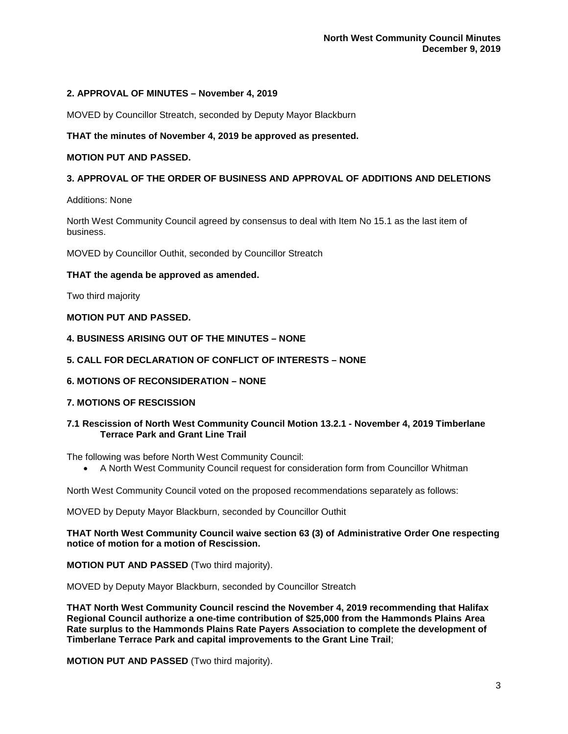### **2. APPROVAL OF MINUTES – November 4, 2019**

MOVED by Councillor Streatch, seconded by Deputy Mayor Blackburn

## **THAT the minutes of November 4, 2019 be approved as presented.**

### **MOTION PUT AND PASSED.**

## **3. APPROVAL OF THE ORDER OF BUSINESS AND APPROVAL OF ADDITIONS AND DELETIONS**

Additions: None

North West Community Council agreed by consensus to deal with Item No 15.1 as the last item of business.

MOVED by Councillor Outhit, seconded by Councillor Streatch

## **THAT the agenda be approved as amended.**

Two third majority

## **MOTION PUT AND PASSED.**

**4. BUSINESS ARISING OUT OF THE MINUTES – NONE** 

## **5. CALL FOR DECLARATION OF CONFLICT OF INTERESTS – NONE**

**6. MOTIONS OF RECONSIDERATION – NONE**

### **7. MOTIONS OF RESCISSION**

## **7.1 Rescission of North West Community Council Motion 13.2.1 - November 4, 2019 Timberlane Terrace Park and Grant Line Trail**

The following was before North West Community Council:

• A North West Community Council request for consideration form from Councillor Whitman

North West Community Council voted on the proposed recommendations separately as follows:

MOVED by Deputy Mayor Blackburn, seconded by Councillor Outhit

**THAT North West Community Council waive section 63 (3) of Administrative Order One respecting notice of motion for a motion of Rescission.**

**MOTION PUT AND PASSED** (Two third majority).

MOVED by Deputy Mayor Blackburn, seconded by Councillor Streatch

**THAT North West Community Council rescind the November 4, 2019 recommending that Halifax Regional Council authorize a one-time contribution of \$25,000 from the Hammonds Plains Area Rate surplus to the Hammonds Plains Rate Payers Association to complete the development of Timberlane Terrace Park and capital improvements to the Grant Line Trail**;

**MOTION PUT AND PASSED** (Two third majority).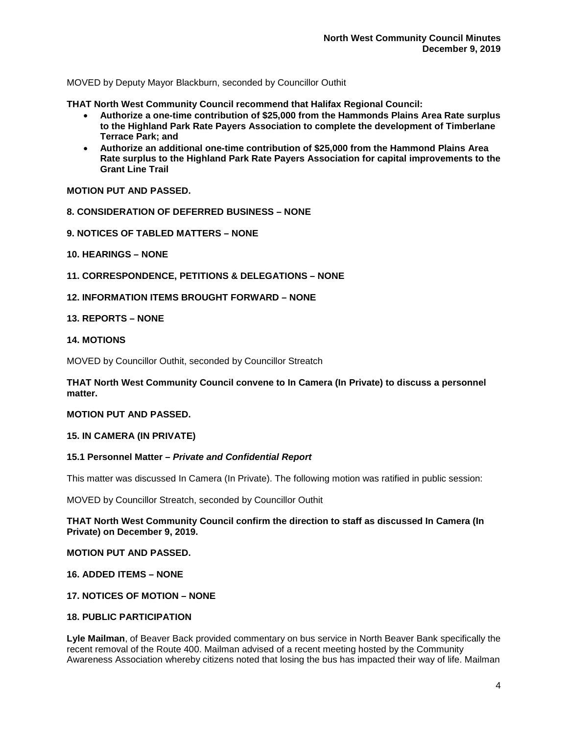MOVED by Deputy Mayor Blackburn, seconded by Councillor Outhit

**THAT North West Community Council recommend that Halifax Regional Council:**

- **Authorize a one-time contribution of \$25,000 from the Hammonds Plains Area Rate surplus to the Highland Park Rate Payers Association to complete the development of Timberlane Terrace Park; and**
- **Authorize an additional one-time contribution of \$25,000 from the Hammond Plains Area Rate surplus to the Highland Park Rate Payers Association for capital improvements to the Grant Line Trail**

**MOTION PUT AND PASSED.**

- **8. CONSIDERATION OF DEFERRED BUSINESS – NONE**
- **9. NOTICES OF TABLED MATTERS – NONE**
- **10. HEARINGS – NONE**

**11. CORRESPONDENCE, PETITIONS & DELEGATIONS – NONE** 

**12. INFORMATION ITEMS BROUGHT FORWARD – NONE**

#### **13. REPORTS – NONE**

#### **14. MOTIONS**

MOVED by Councillor Outhit, seconded by Councillor Streatch

**THAT North West Community Council convene to In Camera (In Private) to discuss a personnel matter.**

### **MOTION PUT AND PASSED.**

#### **15. IN CAMERA (IN PRIVATE)**

#### **15.1 Personnel Matter –** *Private and Confidential Report*

This matter was discussed In Camera (In Private). The following motion was ratified in public session:

MOVED by Councillor Streatch, seconded by Councillor Outhit

**THAT North West Community Council confirm the direction to staff as discussed In Camera (In Private) on December 9, 2019.**

**MOTION PUT AND PASSED.**

**16. ADDED ITEMS – NONE**

# **17. NOTICES OF MOTION – NONE**

# **18. PUBLIC PARTICIPATION**

**Lyle Mailman**, of Beaver Back provided commentary on bus service in North Beaver Bank specifically the recent removal of the Route 400. Mailman advised of a recent meeting hosted by the Community Awareness Association whereby citizens noted that losing the bus has impacted their way of life. Mailman